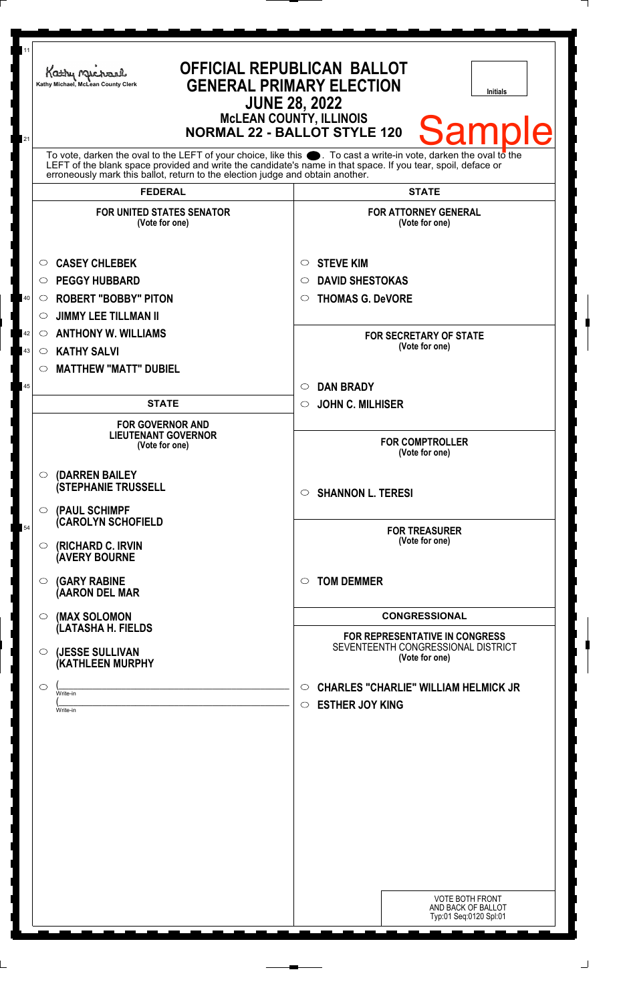| 11<br>21 | Kathy Michael<br>Kathy Michael, McLean County Clerk                                                                                                                                                                                                                                                                | <b>OFFICIAL REPUBLICAN BALLOT</b><br><b>GENERAL PRIMARY ELECTION</b><br><b>Initials</b><br><b>JUNE 28, 2022</b><br><b>McLEAN COUNTY, ILLINOIS</b><br><b>Sample</b><br><b>NORMAL 22 - BALLOT STYLE 120</b> |  |
|----------|--------------------------------------------------------------------------------------------------------------------------------------------------------------------------------------------------------------------------------------------------------------------------------------------------------------------|-----------------------------------------------------------------------------------------------------------------------------------------------------------------------------------------------------------|--|
|          | To vote, darken the oval to the LEFT of your choice, like this . To cast a write-in vote, darken the oval to the<br>LEFT of the blank space provided and write the candidate's name in that space. If you tear, spoil, deface or<br>erroneously mark this ballot, return to the election judge and obtain another. |                                                                                                                                                                                                           |  |
|          | <b>FEDERAL</b>                                                                                                                                                                                                                                                                                                     | <b>STATE</b>                                                                                                                                                                                              |  |
|          | <b>FOR UNITED STATES SENATOR</b><br>(Vote for one)                                                                                                                                                                                                                                                                 | <b>FOR ATTORNEY GENERAL</b><br>(Vote for one)                                                                                                                                                             |  |
|          | <b>CASEY CHLEBEK</b><br>O                                                                                                                                                                                                                                                                                          | <b>STEVE KIM</b><br>$\circ$                                                                                                                                                                               |  |
|          | <b>PEGGY HUBBARD</b><br>◯                                                                                                                                                                                                                                                                                          | <b>DAVID SHESTOKAS</b><br>O                                                                                                                                                                               |  |
| 40       | <b>ROBERT "BOBBY" PITON</b><br>$\circ$                                                                                                                                                                                                                                                                             | <b>THOMAS G. DeVORE</b><br>$\circ$                                                                                                                                                                        |  |
|          | <b>JIMMY LEE TILLMAN II</b><br>O                                                                                                                                                                                                                                                                                   |                                                                                                                                                                                                           |  |
| 42       | <b>ANTHONY W. WILLIAMS</b><br>$\circ$                                                                                                                                                                                                                                                                              | <b>FOR SECRETARY OF STATE</b>                                                                                                                                                                             |  |
| 43       | <b>KATHY SALVI</b><br>$\circ$                                                                                                                                                                                                                                                                                      | (Vote for one)                                                                                                                                                                                            |  |
|          | <b>MATTHEW "MATT" DUBIEL</b><br>$\circ$                                                                                                                                                                                                                                                                            |                                                                                                                                                                                                           |  |
| 45       |                                                                                                                                                                                                                                                                                                                    | <b>DAN BRADY</b><br>$\circ$                                                                                                                                                                               |  |
|          | <b>STATE</b>                                                                                                                                                                                                                                                                                                       | <b>JOHN C. MILHISER</b><br>$\circ$                                                                                                                                                                        |  |
|          | <b>FOR GOVERNOR AND</b><br><b>LIEUTENANT GOVERNOR</b><br>(Vote for one)                                                                                                                                                                                                                                            | <b>FOR COMPTROLLER</b><br>(Vote for one)                                                                                                                                                                  |  |
|          | (DARREN BAILEY<br>$\circ$<br><b>(STEPHANIE TRUSSELL</b><br>$\circ$ (PAUL SCHIMPF                                                                                                                                                                                                                                   | <b>SHANNON L. TERESI</b><br>$\circ$                                                                                                                                                                       |  |
| 54       | (CAROLYN SCHOFIELD<br><b>(RICHARD C. IRVIN</b><br>$\circ$<br><b>(AVERY BOURNE</b>                                                                                                                                                                                                                                  | <b>FOR TREASURER</b><br>(Vote for one)                                                                                                                                                                    |  |
|          | <b>(GARY RABINE</b><br>$\circ$<br>(AARON DEL MAR                                                                                                                                                                                                                                                                   | <b>TOM DEMMER</b><br>$\circ$                                                                                                                                                                              |  |
|          | (MAX SOLOMON<br>$\circ$                                                                                                                                                                                                                                                                                            | <b>CONGRESSIONAL</b>                                                                                                                                                                                      |  |
|          | (LATASHA H. FIELDS<br>(JESSE SULLIVAN<br>$\circ$<br>(KATHLEEN MURPHY                                                                                                                                                                                                                                               | FOR REPRESENTATIVE IN CONGRESS<br>SEVENTEENTH CONGRESSIONAL DISTRICT<br>(Vote for one)                                                                                                                    |  |
|          | ◯<br>Write-in<br>Write-in                                                                                                                                                                                                                                                                                          | <b>CHARLES "CHARLIE" WILLIAM HELMICK JR</b><br>$\circ$<br><b>ESTHER JOY KING</b><br>$\circ$                                                                                                               |  |
|          |                                                                                                                                                                                                                                                                                                                    |                                                                                                                                                                                                           |  |
|          |                                                                                                                                                                                                                                                                                                                    | VOTE BOTH FRONT<br>AND BACK OF BALLOT<br>Typ:01 Seq:0120 Spl:01                                                                                                                                           |  |